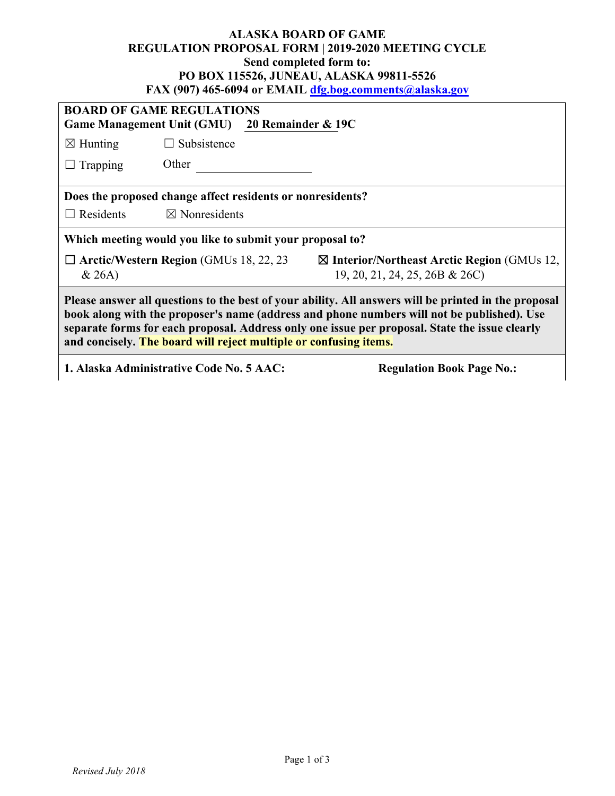## **ALASKA BOARD OF GAME REGULATION PROPOSAL FORM | 2019-2020 MEETING CYCLE Send completed form to: PO BOX 115526, JUNEAU, ALASKA 99811-5526 FAX (907) 465-6094 or EMAIL [dfg.bog.comments@alaska.gov](mailto:dfg.bog.comments@alaska.gov)**

| <b>BOARD OF GAME REGULATIONS</b><br>Game Management Unit (GMU) 20 Remainder & 19C                                                                                                                                                                                                                                                                                         |                                                |                                                                                         |  |  |
|---------------------------------------------------------------------------------------------------------------------------------------------------------------------------------------------------------------------------------------------------------------------------------------------------------------------------------------------------------------------------|------------------------------------------------|-----------------------------------------------------------------------------------------|--|--|
| $\boxtimes$ Hunting                                                                                                                                                                                                                                                                                                                                                       | $\Box$ Subsistence                             |                                                                                         |  |  |
| Trapping                                                                                                                                                                                                                                                                                                                                                                  | Other                                          |                                                                                         |  |  |
| Does the proposed change affect residents or nonresidents?                                                                                                                                                                                                                                                                                                                |                                                |                                                                                         |  |  |
| $\Box$ Residents                                                                                                                                                                                                                                                                                                                                                          | $\boxtimes$ Nonresidents                       |                                                                                         |  |  |
| Which meeting would you like to submit your proposal to?                                                                                                                                                                                                                                                                                                                  |                                                |                                                                                         |  |  |
| & 26A)                                                                                                                                                                                                                                                                                                                                                                    | $\Box$ Arctic/Western Region (GMUs 18, 22, 23) | $\boxtimes$ Interior/Northeast Arctic Region (GMUs 12,<br>19, 20, 21, 24, 25, 26B & 26C |  |  |
| Please answer all questions to the best of your ability. All answers will be printed in the proposal<br>book along with the proposer's name (address and phone numbers will not be published). Use<br>separate forms for each proposal. Address only one issue per proposal. State the issue clearly<br>and concisely. The board will reject multiple or confusing items. |                                                |                                                                                         |  |  |
|                                                                                                                                                                                                                                                                                                                                                                           | 1. Alaska Administrative Code No. 5 AAC:       | <b>Regulation Book Page No.:</b>                                                        |  |  |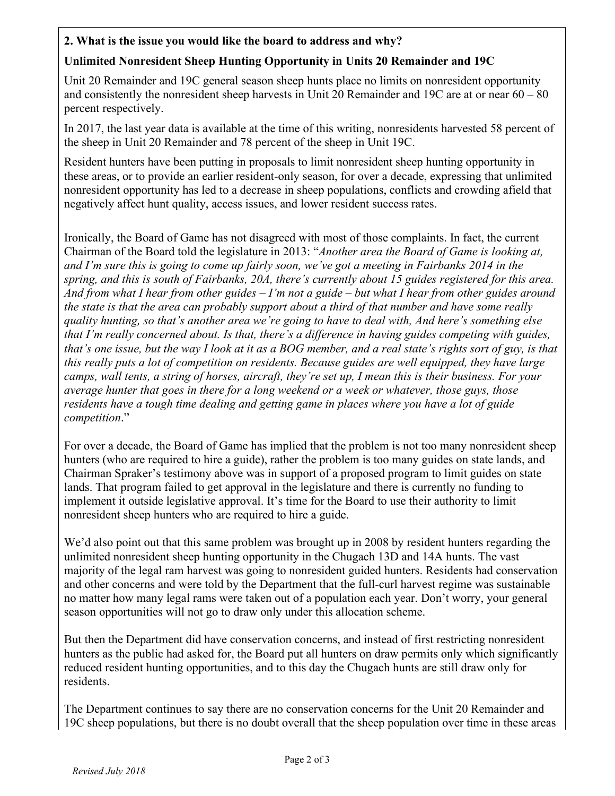## **2. What is the issue you would like the board to address and why?**

## **Unlimited Nonresident Sheep Hunting Opportunity in Units 20 Remainder and 19C**

Unit 20 Remainder and 19C general season sheep hunts place no limits on nonresident opportunity and consistently the nonresident sheep harvests in Unit 20 Remainder and 19C are at or near 60 – 80 percent respectively.

In 2017, the last year data is available at the time of this writing, nonresidents harvested 58 percent of the sheep in Unit 20 Remainder and 78 percent of the sheep in Unit 19C.

Resident hunters have been putting in proposals to limit nonresident sheep hunting opportunity in these areas, or to provide an earlier resident-only season, for over a decade, expressing that unlimited nonresident opportunity has led to a decrease in sheep populations, conflicts and crowding afield that negatively affect hunt quality, access issues, and lower resident success rates.

Ironically, the Board of Game has not disagreed with most of those complaints. In fact, the current Chairman of the Board told the legislature in 2013: "*Another area the Board of Game is looking at, and I'm sure this is going to come up fairly soon, we've got a meeting in Fairbanks 2014 in the spring, and this is south of Fairbanks, 20A, there's currently about 15 guides registered for this area. And from what I hear from other guides – I'm not a guide – but what I hear from other guides around the state is that the area can probably support about a third of that number and have some really quality hunting, so that's another area we're going to have to deal with, And here's something else that I'm really concerned about. Is that, there's a difference in having guides competing with guides, that's one issue, but the way I look at it as a BOG member, and a real state's rights sort of guy, is that this really puts a lot of competition on residents. Because guides are well equipped, they have large camps, wall tents, a string of horses, aircraft, they're set up, I mean this is their business. For your average hunter that goes in there for a long weekend or a week or whatever, those guys, those residents have a tough time dealing and getting game in places where you have a lot of guide competition*."

For over a decade, the Board of Game has implied that the problem is not too many nonresident sheep hunters (who are required to hire a guide), rather the problem is too many guides on state lands, and Chairman Spraker's testimony above was in support of a proposed program to limit guides on state lands. That program failed to get approval in the legislature and there is currently no funding to implement it outside legislative approval. It's time for the Board to use their authority to limit nonresident sheep hunters who are required to hire a guide.

We'd also point out that this same problem was brought up in 2008 by resident hunters regarding the unlimited nonresident sheep hunting opportunity in the Chugach 13D and 14A hunts. The vast majority of the legal ram harvest was going to nonresident guided hunters. Residents had conservation and other concerns and were told by the Department that the full-curl harvest regime was sustainable no matter how many legal rams were taken out of a population each year. Don't worry, your general season opportunities will not go to draw only under this allocation scheme.

But then the Department did have conservation concerns, and instead of first restricting nonresident hunters as the public had asked for, the Board put all hunters on draw permits only which significantly reduced resident hunting opportunities, and to this day the Chugach hunts are still draw only for residents.

The Department continues to say there are no conservation concerns for the Unit 20 Remainder and 19C sheep populations, but there is no doubt overall that the sheep population over time in these areas